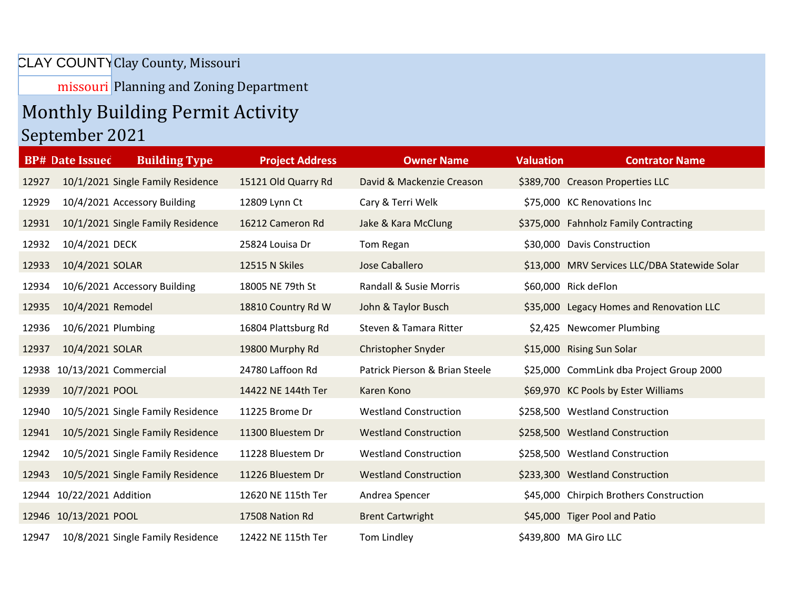CLAY COUNTY Clay County, Missouri

missouri Planning and Zoning Department

## Monthly Building Permit Activity

## September 2021

|       | <b>BP# Date Issued</b>      | <b>Building Type</b>              | <b>Project Address</b> | <b>Owner Name</b>              | <b>Valuation</b> | <b>Contrator Name</b>                         |
|-------|-----------------------------|-----------------------------------|------------------------|--------------------------------|------------------|-----------------------------------------------|
| 12927 |                             | 10/1/2021 Single Family Residence | 15121 Old Quarry Rd    | David & Mackenzie Creason      |                  | \$389,700 Creason Properties LLC              |
| 12929 |                             | 10/4/2021 Accessory Building      | 12809 Lynn Ct          | Cary & Terri Welk              |                  | \$75,000 KC Renovations Inc                   |
| 12931 |                             | 10/1/2021 Single Family Residence | 16212 Cameron Rd       | Jake & Kara McClung            |                  | \$375,000 Fahnholz Family Contracting         |
| 12932 | 10/4/2021 DECK              |                                   | 25824 Louisa Dr        | Tom Regan                      |                  | \$30,000 Davis Construction                   |
| 12933 | 10/4/2021 SOLAR             |                                   | 12515 N Skiles         | Jose Caballero                 |                  | \$13,000 MRV Services LLC/DBA Statewide Solar |
| 12934 |                             | 10/6/2021 Accessory Building      | 18005 NE 79th St       | Randall & Susie Morris         |                  | \$60,000 Rick deFlon                          |
| 12935 | 10/4/2021 Remodel           |                                   | 18810 Country Rd W     | John & Taylor Busch            |                  | \$35,000 Legacy Homes and Renovation LLC      |
| 12936 | 10/6/2021 Plumbing          |                                   | 16804 Plattsburg Rd    | Steven & Tamara Ritter         |                  | \$2,425 Newcomer Plumbing                     |
| 12937 | 10/4/2021 SOLAR             |                                   | 19800 Murphy Rd        | Christopher Snyder             |                  | \$15,000 Rising Sun Solar                     |
|       | 12938 10/13/2021 Commercial |                                   | 24780 Laffoon Rd       | Patrick Pierson & Brian Steele |                  | \$25,000 CommLink dba Project Group 2000      |
| 12939 | 10/7/2021 POOL              |                                   | 14422 NE 144th Ter     | Karen Kono                     |                  | \$69,970 KC Pools by Ester Williams           |
| 12940 |                             | 10/5/2021 Single Family Residence | 11225 Brome Dr         | <b>Westland Construction</b>   |                  | \$258,500 Westland Construction               |
| 12941 |                             | 10/5/2021 Single Family Residence | 11300 Bluestem Dr      | <b>Westland Construction</b>   |                  | \$258,500 Westland Construction               |
| 12942 |                             | 10/5/2021 Single Family Residence | 11228 Bluestem Dr      | <b>Westland Construction</b>   |                  | \$258,500 Westland Construction               |
| 12943 |                             | 10/5/2021 Single Family Residence | 11226 Bluestem Dr      | <b>Westland Construction</b>   |                  | \$233,300 Westland Construction               |
|       | 12944 10/22/2021 Addition   |                                   | 12620 NE 115th Ter     | Andrea Spencer                 |                  | \$45,000 Chirpich Brothers Construction       |
|       | 12946 10/13/2021 POOL       |                                   | 17508 Nation Rd        | <b>Brent Cartwright</b>        |                  | \$45,000 Tiger Pool and Patio                 |
| 12947 |                             | 10/8/2021 Single Family Residence | 12422 NE 115th Ter     | Tom Lindley                    |                  | \$439,800 MA Giro LLC                         |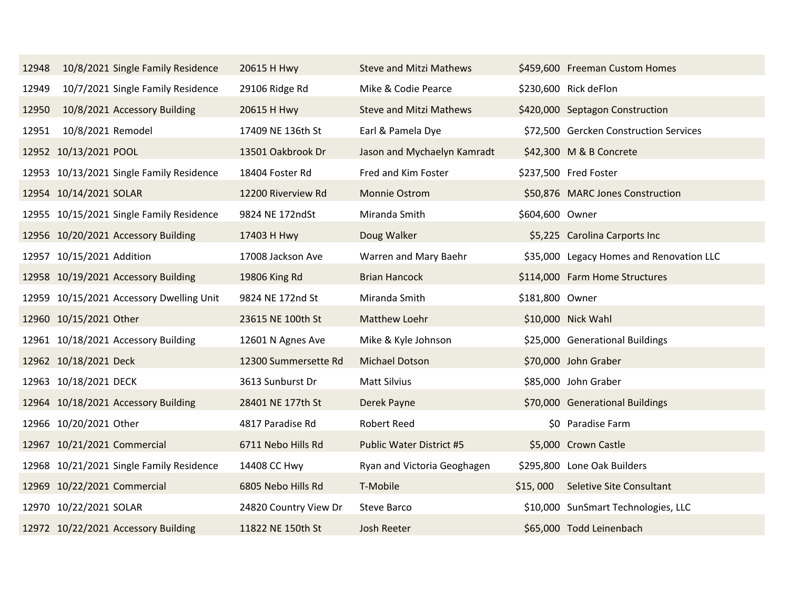| 12948 | 10/8/2021 Single Family Residence        | 20615 H Hwy           | <b>Steve and Mitzi Mathews</b>  |                 | \$459,600 Freeman Custom Homes           |
|-------|------------------------------------------|-----------------------|---------------------------------|-----------------|------------------------------------------|
| 12949 | 10/7/2021 Single Family Residence        | 29106 Ridge Rd        | Mike & Codie Pearce             |                 | \$230,600 Rick deFlon                    |
| 12950 | 10/8/2021 Accessory Building             | 20615 H Hwy           | <b>Steve and Mitzi Mathews</b>  |                 | \$420,000 Septagon Construction          |
| 12951 | 10/8/2021 Remodel                        | 17409 NE 136th St     | Earl & Pamela Dye               |                 | \$72,500 Gercken Construction Services   |
|       | 12952 10/13/2021 POOL                    | 13501 Oakbrook Dr     | Jason and Mychaelyn Kamradt     |                 | \$42,300 M & B Concrete                  |
|       | 12953 10/13/2021 Single Family Residence | 18404 Foster Rd       | Fred and Kim Foster             |                 | \$237,500 Fred Foster                    |
|       | 12954 10/14/2021 SOLAR                   | 12200 Riverview Rd    | Monnie Ostrom                   |                 | \$50,876 MARC Jones Construction         |
|       | 12955 10/15/2021 Single Family Residence | 9824 NE 172ndSt       | Miranda Smith                   | \$604,600 Owner |                                          |
|       | 12956 10/20/2021 Accessory Building      | 17403 H Hwy           | Doug Walker                     |                 | \$5,225 Carolina Carports Inc            |
|       | 12957 10/15/2021 Addition                | 17008 Jackson Ave     | Warren and Mary Baehr           |                 | \$35,000 Legacy Homes and Renovation LLC |
|       | 12958 10/19/2021 Accessory Building      | 19806 King Rd         | <b>Brian Hancock</b>            |                 | \$114,000 Farm Home Structures           |
|       | 12959 10/15/2021 Accessory Dwelling Unit | 9824 NE 172nd St      | Miranda Smith                   | \$181,800 Owner |                                          |
|       | 12960 10/15/2021 Other                   | 23615 NE 100th St     | Matthew Loehr                   |                 | \$10,000 Nick Wahl                       |
|       | 12961 10/18/2021 Accessory Building      | 12601 N Agnes Ave     | Mike & Kyle Johnson             |                 | \$25,000 Generational Buildings          |
|       | 12962 10/18/2021 Deck                    | 12300 Summersette Rd  | Michael Dotson                  |                 | \$70,000 John Graber                     |
|       | 12963 10/18/2021 DECK                    | 3613 Sunburst Dr      | Matt Silvius                    |                 | \$85,000 John Graber                     |
|       | 12964 10/18/2021 Accessory Building      | 28401 NE 177th St     | Derek Payne                     |                 | \$70,000 Generational Buildings          |
|       | 12966 10/20/2021 Other                   | 4817 Paradise Rd      | <b>Robert Reed</b>              |                 | \$0 Paradise Farm                        |
|       | 12967 10/21/2021 Commercial              | 6711 Nebo Hills Rd    | <b>Public Water District #5</b> |                 | \$5,000 Crown Castle                     |
|       | 12968 10/21/2021 Single Family Residence | 14408 CC Hwy          | Ryan and Victoria Geoghagen     |                 | \$295,800 Lone Oak Builders              |
|       | 12969 10/22/2021 Commercial              | 6805 Nebo Hills Rd    | T-Mobile                        | \$15,000        | Seletive Site Consultant                 |
|       | 12970 10/22/2021 SOLAR                   | 24820 Country View Dr | Steve Barco                     |                 | \$10,000 SunSmart Technologies, LLC      |
|       | 12972 10/22/2021 Accessory Building      | 11822 NE 150th St     | <b>Josh Reeter</b>              |                 | \$65,000 Todd Leinenbach                 |